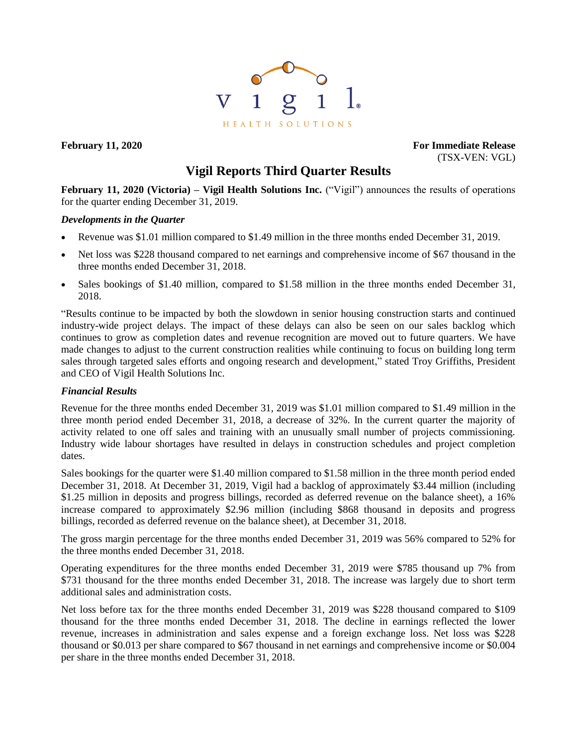

**February 11, 2020 For Immediate Release** (TSX-VEN: VGL)

# **Vigil Reports Third Quarter Results**

**February 11, 2020 (Victoria) – Vigil Health Solutions Inc.** ("Vigil") announces the results of operations for the quarter ending December 31, 2019.

## *Developments in the Quarter*

- Revenue was \$1.01 million compared to \$1.49 million in the three months ended December 31, 2019.
- Net loss was \$228 thousand compared to net earnings and comprehensive income of \$67 thousand in the three months ended December 31, 2018.
- Sales bookings of \$1.40 million, compared to \$1.58 million in the three months ended December 31, 2018.

"Results continue to be impacted by both the slowdown in senior housing construction starts and continued industry-wide project delays. The impact of these delays can also be seen on our sales backlog which continues to grow as completion dates and revenue recognition are moved out to future quarters. We have made changes to adjust to the current construction realities while continuing to focus on building long term sales through targeted sales efforts and ongoing research and development," stated Troy Griffiths, President and CEO of Vigil Health Solutions Inc.

## *Financial Results*

Revenue for the three months ended December 31, 2019 was \$1.01 million compared to \$1.49 million in the three month period ended December 31, 2018, a decrease of 32%. In the current quarter the majority of activity related to one off sales and training with an unusually small number of projects commissioning. Industry wide labour shortages have resulted in delays in construction schedules and project completion dates.

Sales bookings for the quarter were \$1.40 million compared to \$1.58 million in the three month period ended December 31, 2018. At December 31, 2019, Vigil had a backlog of approximately \$3.44 million (including \$1.25 million in deposits and progress billings, recorded as deferred revenue on the balance sheet), a 16% increase compared to approximately \$2.96 million (including \$868 thousand in deposits and progress billings, recorded as deferred revenue on the balance sheet), at December 31, 2018.

The gross margin percentage for the three months ended December 31, 2019 was 56% compared to 52% for the three months ended December 31, 2018.

Operating expenditures for the three months ended December 31, 2019 were \$785 thousand up 7% from \$731 thousand for the three months ended December 31, 2018. The increase was largely due to short term additional sales and administration costs.

Net loss before tax for the three months ended December 31, 2019 was \$228 thousand compared to \$109 thousand for the three months ended December 31, 2018. The decline in earnings reflected the lower revenue, increases in administration and sales expense and a foreign exchange loss. Net loss was \$228 thousand or \$0.013 per share compared to \$67 thousand in net earnings and comprehensive income or \$0.004 per share in the three months ended December 31, 2018.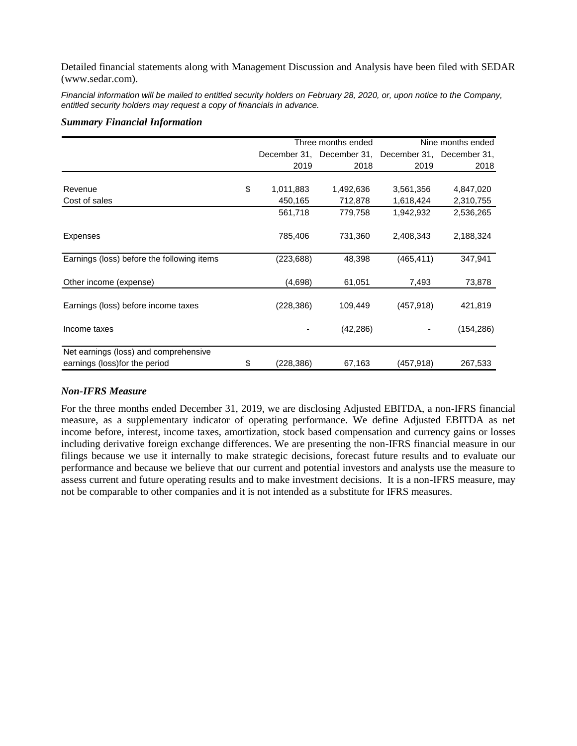Detailed financial statements along with Management Discussion and Analysis have been filed with SEDAR (www.sedar.com).

*Financial information will be mailed to entitled security holders on February 28, 2020, or, upon notice to the Company, entitled security holders may request a copy of financials in advance.*

#### *Summary Financial Information*

|                                            | Three months ended |                           | Nine months ended         |            |
|--------------------------------------------|--------------------|---------------------------|---------------------------|------------|
|                                            |                    | December 31, December 31, | December 31, December 31, |            |
|                                            | 2019               | 2018                      | 2019                      | 2018       |
|                                            |                    |                           |                           |            |
| Revenue                                    | \$<br>1,011,883    | 1,492,636                 | 3,561,356                 | 4,847,020  |
| Cost of sales                              | 450,165            | 712,878                   | 1,618,424                 | 2,310,755  |
|                                            | 561,718            | 779,758                   | 1,942,932                 | 2,536,265  |
| <b>Expenses</b>                            | 785,406            | 731,360                   | 2,408,343                 | 2,188,324  |
| Earnings (loss) before the following items | (223, 688)         | 48,398                    | (465, 411)                | 347,941    |
| Other income (expense)                     | (4,698)            | 61,051                    | 7,493                     | 73,878     |
| Earnings (loss) before income taxes        | (228, 386)         | 109,449                   | (457, 918)                | 421,819    |
| Income taxes                               |                    | (42, 286)                 |                           | (154, 286) |
| Net earnings (loss) and comprehensive      |                    |                           |                           |            |
| earnings (loss) for the period             | \$<br>(228, 386)   | 67,163                    | (457,918)                 | 267,533    |

## *Non-IFRS Measure*

For the three months ended December 31, 2019, we are disclosing Adjusted EBITDA, a non-IFRS financial measure, as a supplementary indicator of operating performance. We define Adjusted EBITDA as net income before, interest, income taxes, amortization, stock based compensation and currency gains or losses including derivative foreign exchange differences. We are presenting the non-IFRS financial measure in our filings because we use it internally to make strategic decisions, forecast future results and to evaluate our performance and because we believe that our current and potential investors and analysts use the measure to assess current and future operating results and to make investment decisions. It is a non-IFRS measure, may not be comparable to other companies and it is not intended as a substitute for IFRS measures.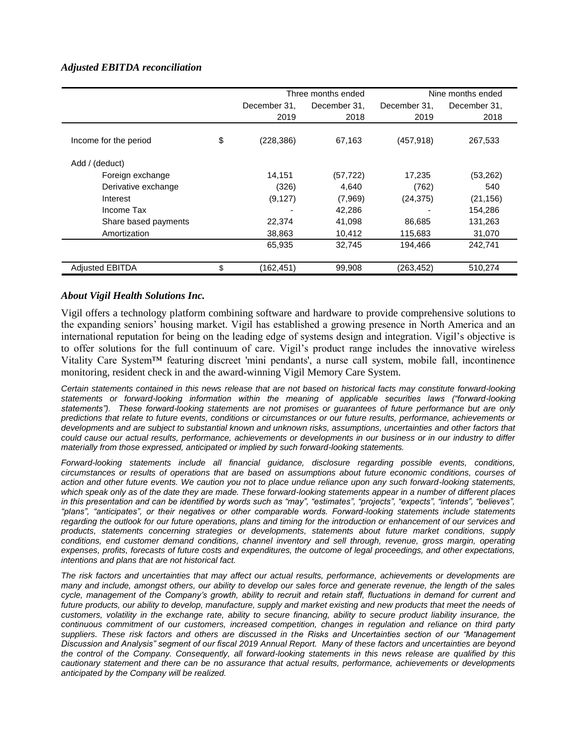## *Adjusted EBITDA reconciliation*

|                        |                  | Three months ended | Nine months ended |              |  |
|------------------------|------------------|--------------------|-------------------|--------------|--|
|                        | December 31.     | December 31.       | December 31.      | December 31, |  |
|                        | 2019             | 2018               | 2019              | 2018         |  |
|                        |                  |                    |                   |              |  |
| Income for the period  | \$<br>(228, 386) | 67,163             | (457, 918)        | 267,533      |  |
| Add / (deduct)         |                  |                    |                   |              |  |
| Foreign exchange       | 14,151           | (57, 722)          | 17,235            | (53,262)     |  |
| Derivative exchange    | (326)            | 4,640              | (762)             | 540          |  |
| Interest               | (9, 127)         | (7,969)            | (24, 375)         | (21, 156)    |  |
| Income Tax             |                  | 42,286             |                   | 154,286      |  |
| Share based payments   | 22,374           | 41,098             | 86,685            | 131,263      |  |
| Amortization           | 38,863           | 10,412             | 115,683           | 31,070       |  |
|                        | 65,935           | 32,745             | 194,466           | 242,741      |  |
| <b>Adjusted EBITDA</b> | \$<br>(162,451)  | 99,908             | (263, 452)        | 510,274      |  |

### *About Vigil Health Solutions Inc.*

Vigil offers a technology platform combining software and hardware to provide comprehensive solutions to the expanding seniors' housing market. Vigil has established a growing presence in North America and an international reputation for being on the leading edge of systems design and integration. Vigil's objective is to offer solutions for the full continuum of care. Vigil's product range includes the innovative wireless Vitality Care System™ featuring discreet 'mini pendants', a nurse call system, mobile fall, incontinence monitoring, resident check in and the award-winning Vigil Memory Care System.

*Certain statements contained in this news release that are not based on historical facts may constitute forward-looking statements or forward-looking information within the meaning of applicable securities laws ("forward-looking statements"). These forward-looking statements are not promises or guarantees of future performance but are only predictions that relate to future events, conditions or circumstances or our future results, performance, achievements or developments and are subject to substantial known and unknown risks, assumptions, uncertainties and other factors that could cause our actual results, performance, achievements or developments in our business or in our industry to differ materially from those expressed, anticipated or implied by such forward-looking statements.*

*Forward-looking statements include all financial guidance, disclosure regarding possible events, conditions, circumstances or results of operations that are based on assumptions about future economic conditions, courses of action and other future events. We caution you not to place undue reliance upon any such forward-looking statements,*  which speak only as of the date they are made. These forward-looking statements appear in a number of different places *in this presentation and can be identified by words such as "may", "estimates", "projects", "expects", "intends", "believes",* "plans", "anticipates", or their negatives or other comparable words. Forward-looking statements include statements *regarding the outlook for our future operations, plans and timing for the introduction or enhancement of our services and products, statements concerning strategies or developments, statements about future market conditions, supply conditions, end customer demand conditions, channel inventory and sell through, revenue, gross margin, operating expenses, profits, forecasts of future costs and expenditures, the outcome of legal proceedings, and other expectations, intentions and plans that are not historical fact.*

*The risk factors and uncertainties that may affect our actual results, performance, achievements or developments are many and include, amongst others, our ability to develop our sales force and generate revenue, the length of the sales cycle, management of the Company's growth, ability to recruit and retain staff, fluctuations in demand for current and*  future products, our ability to develop, manufacture, supply and market existing and new products that meet the needs of *customers, volatility in the exchange rate, ability to secure financing, ability to secure product liability insurance, the continuous commitment of our customers, increased competition, changes in regulation and reliance on third party suppliers. These risk factors and others are discussed in the Risks and Uncertainties section of our "Management Discussion and Analysis" segment of our fiscal 2019 Annual Report. Many of these factors and uncertainties are beyond the control of the Company. Consequently, all forward-looking statements in this news release are qualified by this cautionary statement and there can be no assurance that actual results, performance, achievements or developments anticipated by the Company will be realized.*